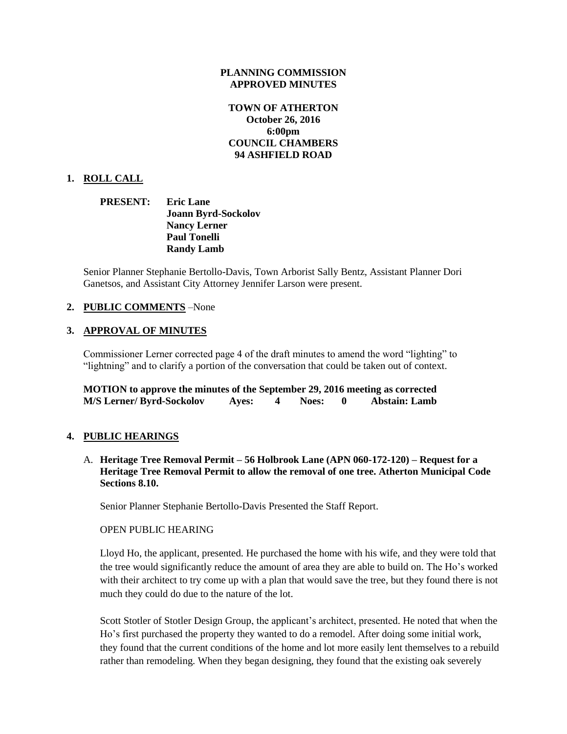#### **PLANNING COMMISSION APPROVED MINUTES**

## **TOWN OF ATHERTON October 26, 2016 6:00pm COUNCIL CHAMBERS 94 ASHFIELD ROAD**

## **1. ROLL CALL**

**PRESENT: Eric Lane Joann Byrd-Sockolov Nancy Lerner Paul Tonelli Randy Lamb**

Senior Planner Stephanie Bertollo-Davis, Town Arborist Sally Bentz, Assistant Planner Dori Ganetsos, and Assistant City Attorney Jennifer Larson were present.

## **2. PUBLIC COMMENTS** –None

#### **3. APPROVAL OF MINUTES**

Commissioner Lerner corrected page 4 of the draft minutes to amend the word "lighting" to "lightning" and to clarify a portion of the conversation that could be taken out of context.

| MOTION to approve the minutes of the September 29, 2016 meeting as corrected |       |              |                      |
|------------------------------------------------------------------------------|-------|--------------|----------------------|
| <b>M/S Lerner/ Byrd-Sockolov</b>                                             | Aves: | <b>Noes:</b> | <b>Abstain: Lamb</b> |

## **4. PUBLIC HEARINGS**

A. **Heritage Tree Removal Permit – 56 Holbrook Lane (APN 060-172-120) – Request for a Heritage Tree Removal Permit to allow the removal of one tree. Atherton Municipal Code Sections 8.10.** 

Senior Planner Stephanie Bertollo-Davis Presented the Staff Report.

#### OPEN PUBLIC HEARING

Lloyd Ho, the applicant, presented. He purchased the home with his wife, and they were told that the tree would significantly reduce the amount of area they are able to build on. The Ho's worked with their architect to try come up with a plan that would save the tree, but they found there is not much they could do due to the nature of the lot.

Scott Stotler of Stotler Design Group, the applicant's architect, presented. He noted that when the Ho's first purchased the property they wanted to do a remodel. After doing some initial work, they found that the current conditions of the home and lot more easily lent themselves to a rebuild rather than remodeling. When they began designing, they found that the existing oak severely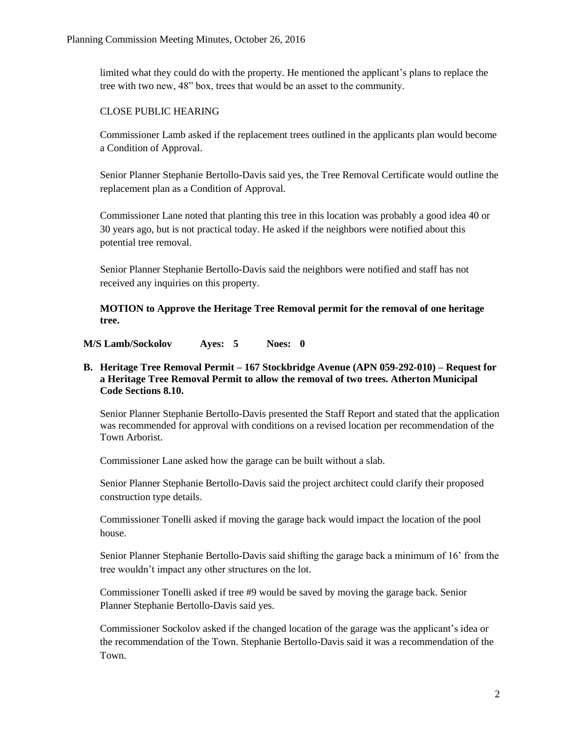limited what they could do with the property. He mentioned the applicant's plans to replace the tree with two new, 48" box, trees that would be an asset to the community.

## CLOSE PUBLIC HEARING

Commissioner Lamb asked if the replacement trees outlined in the applicants plan would become a Condition of Approval.

Senior Planner Stephanie Bertollo-Davis said yes, the Tree Removal Certificate would outline the replacement plan as a Condition of Approval.

Commissioner Lane noted that planting this tree in this location was probably a good idea 40 or 30 years ago, but is not practical today. He asked if the neighbors were notified about this potential tree removal.

Senior Planner Stephanie Bertollo-Davis said the neighbors were notified and staff has not received any inquiries on this property.

**MOTION to Approve the Heritage Tree Removal permit for the removal of one heritage tree.** 

**M/S Lamb/Sockolov Ayes: 5 Noes: 0**

## **B. Heritage Tree Removal Permit – 167 Stockbridge Avenue (APN 059-292-010) – Request for a Heritage Tree Removal Permit to allow the removal of two trees. Atherton Municipal Code Sections 8.10.**

Senior Planner Stephanie Bertollo-Davis presented the Staff Report and stated that the application was recommended for approval with conditions on a revised location per recommendation of the Town Arborist.

Commissioner Lane asked how the garage can be built without a slab.

Senior Planner Stephanie Bertollo-Davis said the project architect could clarify their proposed construction type details.

Commissioner Tonelli asked if moving the garage back would impact the location of the pool house.

Senior Planner Stephanie Bertollo-Davis said shifting the garage back a minimum of 16' from the tree wouldn't impact any other structures on the lot.

Commissioner Tonelli asked if tree #9 would be saved by moving the garage back. Senior Planner Stephanie Bertollo-Davis said yes.

Commissioner Sockolov asked if the changed location of the garage was the applicant's idea or the recommendation of the Town. Stephanie Bertollo-Davis said it was a recommendation of the Town.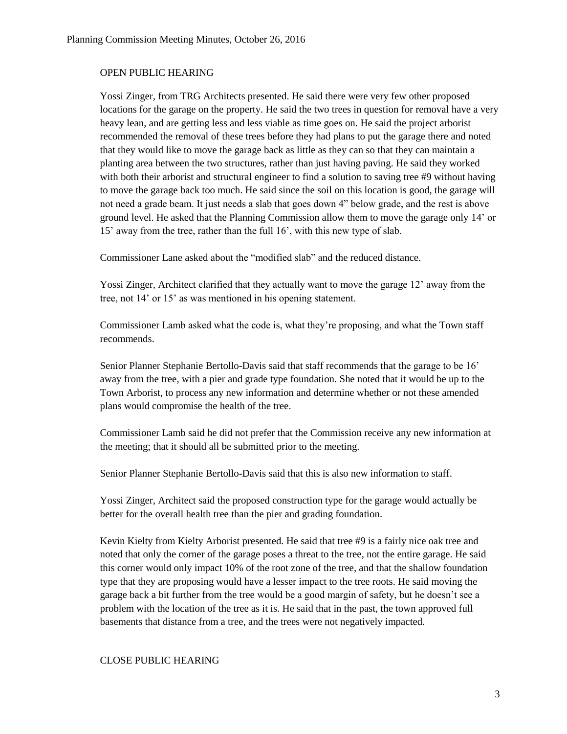#### OPEN PUBLIC HEARING

Yossi Zinger, from TRG Architects presented. He said there were very few other proposed locations for the garage on the property. He said the two trees in question for removal have a very heavy lean, and are getting less and less viable as time goes on. He said the project arborist recommended the removal of these trees before they had plans to put the garage there and noted that they would like to move the garage back as little as they can so that they can maintain a planting area between the two structures, rather than just having paving. He said they worked with both their arborist and structural engineer to find a solution to saving tree #9 without having to move the garage back too much. He said since the soil on this location is good, the garage will not need a grade beam. It just needs a slab that goes down 4" below grade, and the rest is above ground level. He asked that the Planning Commission allow them to move the garage only 14' or 15' away from the tree, rather than the full 16', with this new type of slab.

Commissioner Lane asked about the "modified slab" and the reduced distance.

Yossi Zinger, Architect clarified that they actually want to move the garage 12' away from the tree, not 14' or 15' as was mentioned in his opening statement.

Commissioner Lamb asked what the code is, what they're proposing, and what the Town staff recommends.

Senior Planner Stephanie Bertollo-Davis said that staff recommends that the garage to be 16' away from the tree, with a pier and grade type foundation. She noted that it would be up to the Town Arborist, to process any new information and determine whether or not these amended plans would compromise the health of the tree.

Commissioner Lamb said he did not prefer that the Commission receive any new information at the meeting; that it should all be submitted prior to the meeting.

Senior Planner Stephanie Bertollo-Davis said that this is also new information to staff.

Yossi Zinger, Architect said the proposed construction type for the garage would actually be better for the overall health tree than the pier and grading foundation.

Kevin Kielty from Kielty Arborist presented. He said that tree #9 is a fairly nice oak tree and noted that only the corner of the garage poses a threat to the tree, not the entire garage. He said this corner would only impact 10% of the root zone of the tree, and that the shallow foundation type that they are proposing would have a lesser impact to the tree roots. He said moving the garage back a bit further from the tree would be a good margin of safety, but he doesn't see a problem with the location of the tree as it is. He said that in the past, the town approved full basements that distance from a tree, and the trees were not negatively impacted.

#### CLOSE PUBLIC HEARING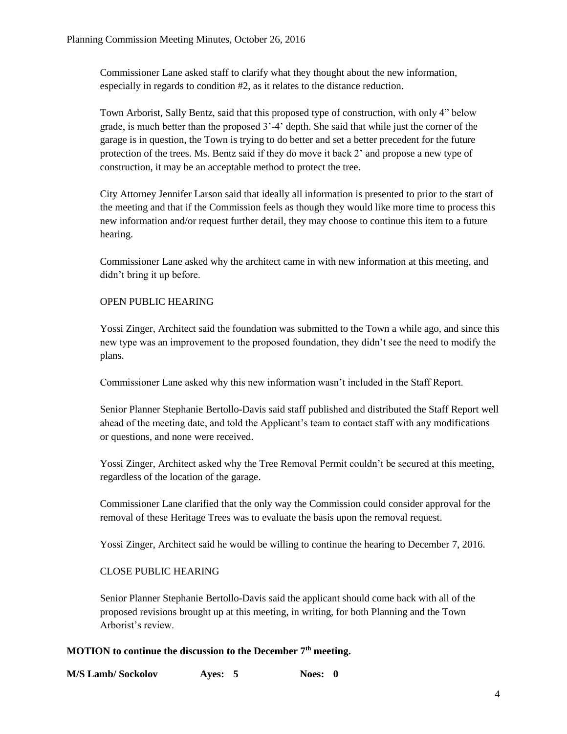Commissioner Lane asked staff to clarify what they thought about the new information, especially in regards to condition #2, as it relates to the distance reduction.

Town Arborist, Sally Bentz, said that this proposed type of construction, with only 4" below grade, is much better than the proposed 3'-4' depth. She said that while just the corner of the garage is in question, the Town is trying to do better and set a better precedent for the future protection of the trees. Ms. Bentz said if they do move it back 2' and propose a new type of construction, it may be an acceptable method to protect the tree.

City Attorney Jennifer Larson said that ideally all information is presented to prior to the start of the meeting and that if the Commission feels as though they would like more time to process this new information and/or request further detail, they may choose to continue this item to a future hearing.

Commissioner Lane asked why the architect came in with new information at this meeting, and didn't bring it up before.

## OPEN PUBLIC HEARING

Yossi Zinger, Architect said the foundation was submitted to the Town a while ago, and since this new type was an improvement to the proposed foundation, they didn't see the need to modify the plans.

Commissioner Lane asked why this new information wasn't included in the Staff Report.

Senior Planner Stephanie Bertollo-Davis said staff published and distributed the Staff Report well ahead of the meeting date, and told the Applicant's team to contact staff with any modifications or questions, and none were received.

Yossi Zinger, Architect asked why the Tree Removal Permit couldn't be secured at this meeting, regardless of the location of the garage.

Commissioner Lane clarified that the only way the Commission could consider approval for the removal of these Heritage Trees was to evaluate the basis upon the removal request.

Yossi Zinger, Architect said he would be willing to continue the hearing to December 7, 2016.

## CLOSE PUBLIC HEARING

Senior Planner Stephanie Bertollo-Davis said the applicant should come back with all of the proposed revisions brought up at this meeting, in writing, for both Planning and the Town Arborist's review.

## **MOTION to continue the discussion to the December 7th meeting.**

| <b>M/S Lamb/Sockolov</b> | Ayes: $5$ | Noes: 0 |
|--------------------------|-----------|---------|
|--------------------------|-----------|---------|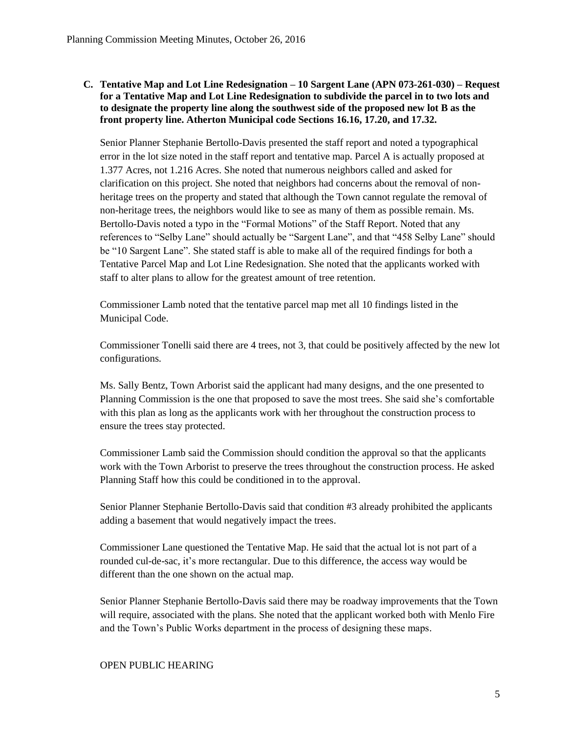## **C. Tentative Map and Lot Line Redesignation – 10 Sargent Lane (APN 073-261-030) – Request for a Tentative Map and Lot Line Redesignation to subdivide the parcel in to two lots and to designate the property line along the southwest side of the proposed new lot B as the front property line. Atherton Municipal code Sections 16.16, 17.20, and 17.32.**

Senior Planner Stephanie Bertollo-Davis presented the staff report and noted a typographical error in the lot size noted in the staff report and tentative map. Parcel A is actually proposed at 1.377 Acres, not 1.216 Acres. She noted that numerous neighbors called and asked for clarification on this project. She noted that neighbors had concerns about the removal of nonheritage trees on the property and stated that although the Town cannot regulate the removal of non-heritage trees, the neighbors would like to see as many of them as possible remain. Ms. Bertollo-Davis noted a typo in the "Formal Motions" of the Staff Report. Noted that any references to "Selby Lane" should actually be "Sargent Lane", and that "458 Selby Lane" should be "10 Sargent Lane". She stated staff is able to make all of the required findings for both a Tentative Parcel Map and Lot Line Redesignation. She noted that the applicants worked with staff to alter plans to allow for the greatest amount of tree retention.

Commissioner Lamb noted that the tentative parcel map met all 10 findings listed in the Municipal Code.

Commissioner Tonelli said there are 4 trees, not 3, that could be positively affected by the new lot configurations.

Ms. Sally Bentz, Town Arborist said the applicant had many designs, and the one presented to Planning Commission is the one that proposed to save the most trees. She said she's comfortable with this plan as long as the applicants work with her throughout the construction process to ensure the trees stay protected.

Commissioner Lamb said the Commission should condition the approval so that the applicants work with the Town Arborist to preserve the trees throughout the construction process. He asked Planning Staff how this could be conditioned in to the approval.

Senior Planner Stephanie Bertollo-Davis said that condition #3 already prohibited the applicants adding a basement that would negatively impact the trees.

Commissioner Lane questioned the Tentative Map. He said that the actual lot is not part of a rounded cul-de-sac, it's more rectangular. Due to this difference, the access way would be different than the one shown on the actual map.

Senior Planner Stephanie Bertollo-Davis said there may be roadway improvements that the Town will require, associated with the plans. She noted that the applicant worked both with Menlo Fire and the Town's Public Works department in the process of designing these maps.

## OPEN PUBLIC HEARING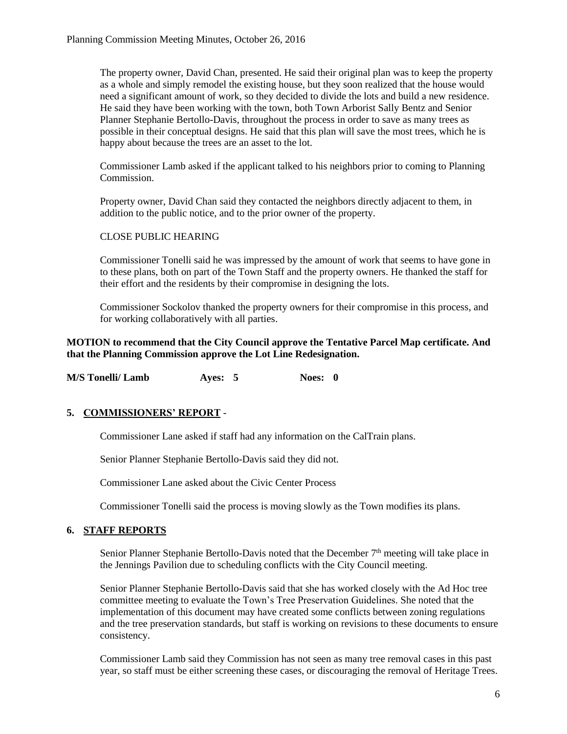The property owner, David Chan, presented. He said their original plan was to keep the property as a whole and simply remodel the existing house, but they soon realized that the house would need a significant amount of work, so they decided to divide the lots and build a new residence. He said they have been working with the town, both Town Arborist Sally Bentz and Senior Planner Stephanie Bertollo-Davis, throughout the process in order to save as many trees as possible in their conceptual designs. He said that this plan will save the most trees, which he is happy about because the trees are an asset to the lot.

Commissioner Lamb asked if the applicant talked to his neighbors prior to coming to Planning Commission.

Property owner, David Chan said they contacted the neighbors directly adjacent to them, in addition to the public notice, and to the prior owner of the property.

## CLOSE PUBLIC HEARING

Commissioner Tonelli said he was impressed by the amount of work that seems to have gone in to these plans, both on part of the Town Staff and the property owners. He thanked the staff for their effort and the residents by their compromise in designing the lots.

Commissioner Sockolov thanked the property owners for their compromise in this process, and for working collaboratively with all parties.

## **MOTION to recommend that the City Council approve the Tentative Parcel Map certificate. And that the Planning Commission approve the Lot Line Redesignation.**

**M/S Tonelli/ Lamb Ayes: 5 Noes: 0**

# **5. COMMISSIONERS' REPORT** -

Commissioner Lane asked if staff had any information on the CalTrain plans.

Senior Planner Stephanie Bertollo-Davis said they did not.

Commissioner Lane asked about the Civic Center Process

Commissioner Tonelli said the process is moving slowly as the Town modifies its plans.

## **6. STAFF REPORTS**

Senior Planner Stephanie Bertollo-Davis noted that the December 7<sup>th</sup> meeting will take place in the Jennings Pavilion due to scheduling conflicts with the City Council meeting.

Senior Planner Stephanie Bertollo-Davis said that she has worked closely with the Ad Hoc tree committee meeting to evaluate the Town's Tree Preservation Guidelines. She noted that the implementation of this document may have created some conflicts between zoning regulations and the tree preservation standards, but staff is working on revisions to these documents to ensure consistency.

Commissioner Lamb said they Commission has not seen as many tree removal cases in this past year, so staff must be either screening these cases, or discouraging the removal of Heritage Trees.